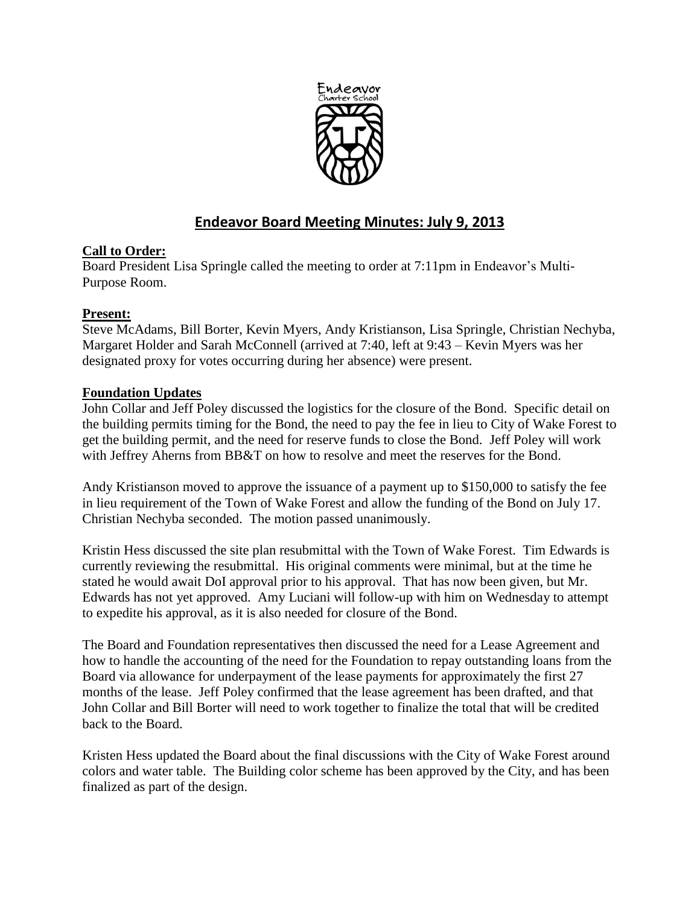

# **Endeavor Board Meeting Minutes: July 9, 2013**

# **Call to Order:**

Board President Lisa Springle called the meeting to order at 7:11pm in Endeavor's Multi-Purpose Room.

# **Present:**

Steve McAdams, Bill Borter, Kevin Myers, Andy Kristianson, Lisa Springle, Christian Nechyba, Margaret Holder and Sarah McConnell (arrived at 7:40, left at 9:43 – Kevin Myers was her designated proxy for votes occurring during her absence) were present.

# **Foundation Updates**

John Collar and Jeff Poley discussed the logistics for the closure of the Bond. Specific detail on the building permits timing for the Bond, the need to pay the fee in lieu to City of Wake Forest to get the building permit, and the need for reserve funds to close the Bond. Jeff Poley will work with Jeffrey Aherns from BB&T on how to resolve and meet the reserves for the Bond.

Andy Kristianson moved to approve the issuance of a payment up to \$150,000 to satisfy the fee in lieu requirement of the Town of Wake Forest and allow the funding of the Bond on July 17. Christian Nechyba seconded. The motion passed unanimously.

Kristin Hess discussed the site plan resubmittal with the Town of Wake Forest. Tim Edwards is currently reviewing the resubmittal. His original comments were minimal, but at the time he stated he would await DoI approval prior to his approval. That has now been given, but Mr. Edwards has not yet approved. Amy Luciani will follow-up with him on Wednesday to attempt to expedite his approval, as it is also needed for closure of the Bond.

The Board and Foundation representatives then discussed the need for a Lease Agreement and how to handle the accounting of the need for the Foundation to repay outstanding loans from the Board via allowance for underpayment of the lease payments for approximately the first 27 months of the lease. Jeff Poley confirmed that the lease agreement has been drafted, and that John Collar and Bill Borter will need to work together to finalize the total that will be credited back to the Board.

Kristen Hess updated the Board about the final discussions with the City of Wake Forest around colors and water table. The Building color scheme has been approved by the City, and has been finalized as part of the design.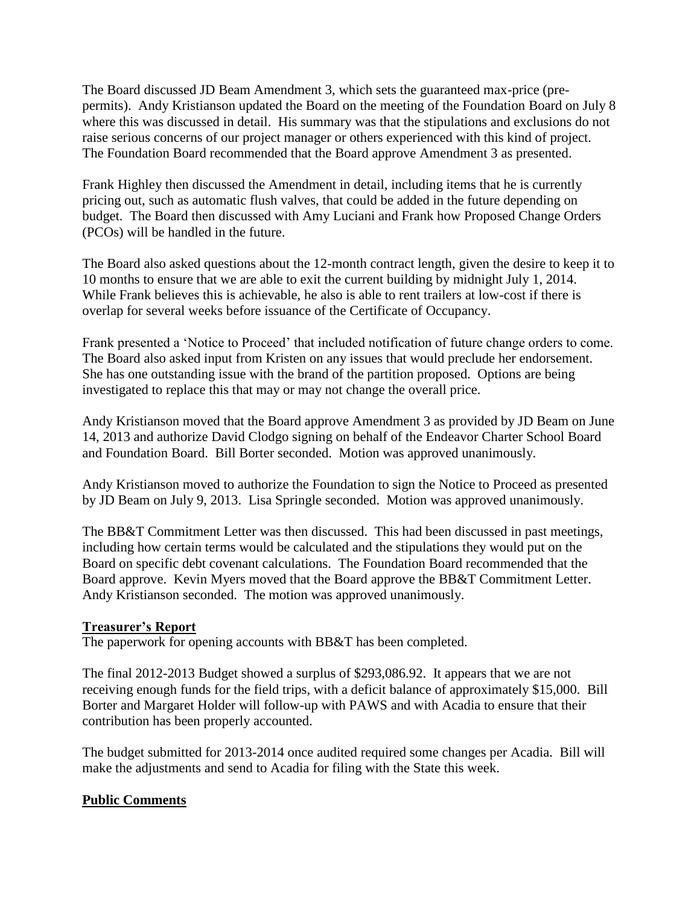The Board discussed JD Beam Amendment 3, which sets the guaranteed max-price (prepermits). Andy Kristianson updated the Board on the meeting of the Foundation Board on July 8 where this was discussed in detail. His summary was that the stipulations and exclusions do not raise serious concerns of our project manager or others experienced with this kind of project. The Foundation Board recommended that the Board approve Amendment 3 as presented.

Frank Highley then discussed the Amendment in detail, including items that he is currently pricing out, such as automatic flush valves, that could be added in the future depending on budget. The Board then discussed with Amy Luciani and Frank how Proposed Change Orders (PCOs) will be handled in the future.

The Board also asked questions about the 12-month contract length, given the desire to keep it to 10 months to ensure that we are able to exit the current building by midnight July 1, 2014. While Frank believes this is achievable, he also is able to rent trailers at low-cost if there is overlap for several weeks before issuance of the Certificate of Occupancy.

Frank presented a 'Notice to Proceed' that included notification of future change orders to come. The Board also asked input from Kristen on any issues that would preclude her endorsement. She has one outstanding issue with the brand of the partition proposed. Options are being investigated to replace this that may or may not change the overall price.

Andy Kristianson moved that the Board approve Amendment 3 as provided by JD Beam on June 14, 2013 and authorize David Clodgo signing on behalf of the Endeavor Charter School Board and Foundation Board. Bill Borter seconded. Motion was approved unanimously.

Andy Kristianson moved to authorize the Foundation to sign the Notice to Proceed as presented by JD Beam on July 9, 2013. Lisa Springle seconded. Motion was approved unanimously.

The BB&T Commitment Letter was then discussed. This had been discussed in past meetings, including how certain terms would be calculated and the stipulations they would put on the Board on specific debt covenant calculations. The Foundation Board recommended that the Board approve. Kevin Myers moved that the Board approve the BB&T Commitment Letter. Andy Kristianson seconded. The motion was approved unanimously.

## **Treasurer's Report**

The paperwork for opening accounts with BB&T has been completed.

The final 2012-2013 Budget showed a surplus of \$293,086.92. It appears that we are not receiving enough funds for the field trips, with a deficit balance of approximately \$15,000. Bill Borter and Margaret Holder will follow-up with PAWS and with Acadia to ensure that their contribution has been properly accounted.

The budget submitted for 2013-2014 once audited required some changes per Acadia. Bill will make the adjustments and send to Acadia for filing with the State this week.

## **Public Comments**